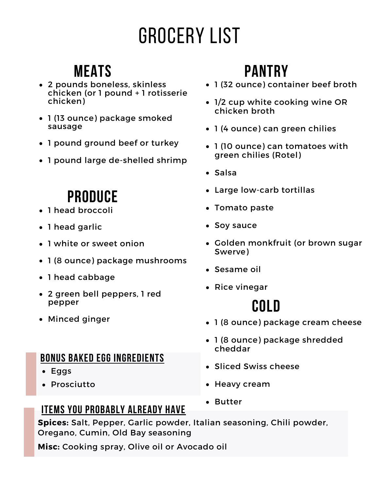# Grocery List

### **Meats**

- 2 pounds boneless, skinless chicken (or 1 pound + 1 rotisserie chicken)
- 1 (13 ounce) package smoked sausage
- 1 pound ground beef or turkey
- 1 pound large de-shelled shrimp

### **Produce**

- 1 head broccoli
- 1 head garlic
- 1 white or sweet onion
- 1 (8 ounce) package mushrooms
- 1 head cabbage
- 2 green bell peppers, 1 red pepper
- Minced ginger

#### **Bonus baked egg ingredients**

- Eggs
- Prosciutto

#### **Items you probably already have**

**Spices:** Salt, Pepper, Garlic powder, Italian seasoning, Chili powder, Oregano, Cumin, Old Bay seasoning

**Misc:** Cooking spray, Olive oil or Avocado oil

## **Pantry**

- 1 (32 ounce) container beef broth
- 1/2 cup white cooking wine OR chicken broth
- 1 (4 ounce) can green chilies
- 1 (10 ounce) can tomatoes with green chilies (Rotel)
- Salsa
- Large low-carb tortillas
- Tomato paste
- Soy sauce
- Golden monkfruit (or brown sugar Swerve)
- Sesame oil
- Rice vinegar

## **Cold**

- 1 (8 ounce) package cream cheese
- 1 (8 ounce) package shredded cheddar
- Sliced Swiss cheese
- Heavy cream
- Butter